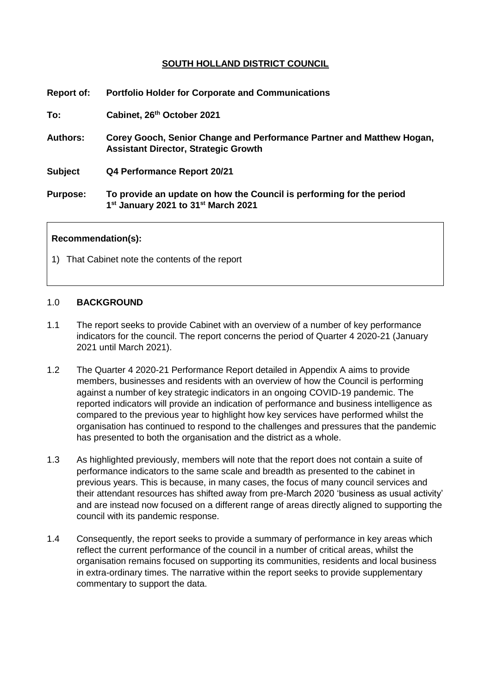# **SOUTH HOLLAND DISTRICT COUNCIL**

| <b>Report of:</b> | <b>Portfolio Holder for Corporate and Communications</b>                                                                            |
|-------------------|-------------------------------------------------------------------------------------------------------------------------------------|
| To:               | Cabinet, 26th October 2021                                                                                                          |
| <b>Authors:</b>   | Corey Gooch, Senior Change and Performance Partner and Matthew Hogan,<br><b>Assistant Director, Strategic Growth</b>                |
| <b>Subject</b>    | Q4 Performance Report 20/21                                                                                                         |
| <b>Purpose:</b>   | To provide an update on how the Council is performing for the period<br>1 <sup>st</sup> January 2021 to 31 <sup>st</sup> March 2021 |

#### **Recommendation(s):**

1) That Cabinet note the contents of the report

#### 1.0 **BACKGROUND**

- 1.1 The report seeks to provide Cabinet with an overview of a number of key performance indicators for the council. The report concerns the period of Quarter 4 2020-21 (January 2021 until March 2021).
- 1.2 The Quarter 4 2020-21 Performance Report detailed in Appendix A aims to provide members, businesses and residents with an overview of how the Council is performing against a number of key strategic indicators in an ongoing COVID-19 pandemic. The reported indicators will provide an indication of performance and business intelligence as compared to the previous year to highlight how key services have performed whilst the organisation has continued to respond to the challenges and pressures that the pandemic has presented to both the organisation and the district as a whole.
- 1.3 As highlighted previously, members will note that the report does not contain a suite of performance indicators to the same scale and breadth as presented to the cabinet in previous years. This is because, in many cases, the focus of many council services and their attendant resources has shifted away from pre-March 2020 'business as usual activity' and are instead now focused on a different range of areas directly aligned to supporting the council with its pandemic response.
- 1.4 Consequently, the report seeks to provide a summary of performance in key areas which reflect the current performance of the council in a number of critical areas, whilst the organisation remains focused on supporting its communities, residents and local business in extra-ordinary times. The narrative within the report seeks to provide supplementary commentary to support the data.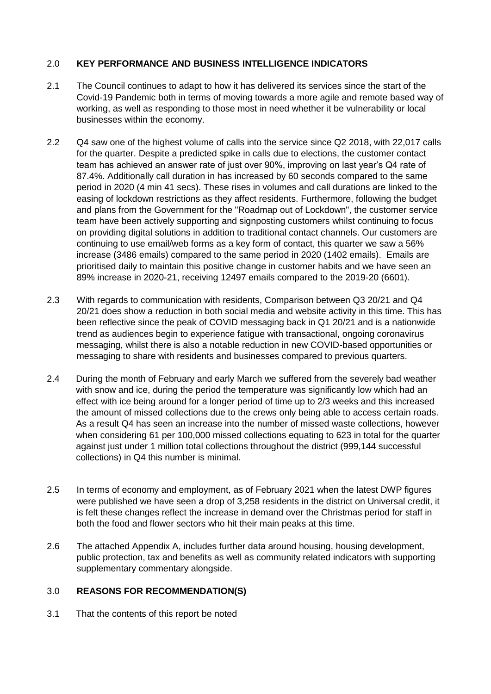# 2.0 **KEY PERFORMANCE AND BUSINESS INTELLIGENCE INDICATORS**

- 2.1 The Council continues to adapt to how it has delivered its services since the start of the Covid-19 Pandemic both in terms of moving towards a more agile and remote based way of working, as well as responding to those most in need whether it be vulnerability or local businesses within the economy.
- 2.2 Q4 saw one of the highest volume of calls into the service since Q2 2018, with 22,017 calls for the quarter. Despite a predicted spike in calls due to elections, the customer contact team has achieved an answer rate of just over 90%, improving on last year's Q4 rate of 87.4%. Additionally call duration in has increased by 60 seconds compared to the same period in 2020 (4 min 41 secs). These rises in volumes and call durations are linked to the easing of lockdown restrictions as they affect residents. Furthermore, following the budget and plans from the Government for the "Roadmap out of Lockdown", the customer service team have been actively supporting and signposting customers whilst continuing to focus on providing digital solutions in addition to traditional contact channels. Our customers are continuing to use email/web forms as a key form of contact, this quarter we saw a 56% increase (3486 emails) compared to the same period in 2020 (1402 emails). Emails are prioritised daily to maintain this positive change in customer habits and we have seen an 89% increase in 2020-21, receiving 12497 emails compared to the 2019-20 (6601).
- 2.3 With regards to communication with residents, Comparison between Q3 20/21 and Q4 20/21 does show a reduction in both social media and website activity in this time. This has been reflective since the peak of COVID messaging back in Q1 20/21 and is a nationwide trend as audiences begin to experience fatigue with transactional, ongoing coronavirus messaging, whilst there is also a notable reduction in new COVID-based opportunities or messaging to share with residents and businesses compared to previous quarters.
- 2.4 During the month of February and early March we suffered from the severely bad weather with snow and ice, during the period the temperature was significantly low which had an effect with ice being around for a longer period of time up to 2/3 weeks and this increased the amount of missed collections due to the crews only being able to access certain roads. As a result Q4 has seen an increase into the number of missed waste collections, however when considering 61 per 100,000 missed collections equating to 623 in total for the quarter against just under 1 million total collections throughout the district (999,144 successful collections) in Q4 this number is minimal.
- 2.5 In terms of economy and employment, as of February 2021 when the latest DWP figures were published we have seen a drop of 3,258 residents in the district on Universal credit, it is felt these changes reflect the increase in demand over the Christmas period for staff in both the food and flower sectors who hit their main peaks at this time.
- 2.6 The attached Appendix A, includes further data around housing, housing development, public protection, tax and benefits as well as community related indicators with supporting supplementary commentary alongside.

# 3.0 **REASONS FOR RECOMMENDATION(S)**

3.1 That the contents of this report be noted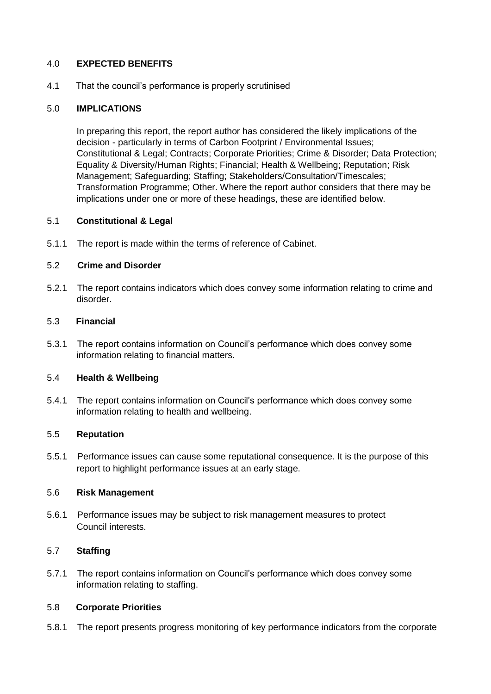## 4.0 **EXPECTED BENEFITS**

4.1 That the council's performance is properly scrutinised

## 5.0 **IMPLICATIONS**

In preparing this report, the report author has considered the likely implications of the decision - particularly in terms of Carbon Footprint / Environmental Issues; Constitutional & Legal; Contracts; Corporate Priorities; Crime & Disorder; Data Protection; Equality & Diversity/Human Rights; Financial; Health & Wellbeing; Reputation; Risk Management; Safeguarding; Staffing; Stakeholders/Consultation/Timescales; Transformation Programme; Other. Where the report author considers that there may be implications under one or more of these headings, these are identified below.

#### 5.1 **Constitutional & Legal**

5.1.1 The report is made within the terms of reference of Cabinet.

## 5.2 **Crime and Disorder**

5.2.1 The report contains indicators which does convey some information relating to crime and disorder.

## 5.3 **Financial**

5.3.1 The report contains information on Council's performance which does convey some information relating to financial matters.

## 5.4 **Health & Wellbeing**

5.4.1 The report contains information on Council's performance which does convey some information relating to health and wellbeing.

#### 5.5 **Reputation**

5.5.1 Performance issues can cause some reputational consequence. It is the purpose of this report to highlight performance issues at an early stage.

#### 5.6 **Risk Management**

5.6.1 Performance issues may be subject to risk management measures to protect Council interests.

## 5.7 **Staffing**

5.7.1 The report contains information on Council's performance which does convey some information relating to staffing.

## 5.8 **Corporate Priorities**

5.8.1 The report presents progress monitoring of key performance indicators from the corporate